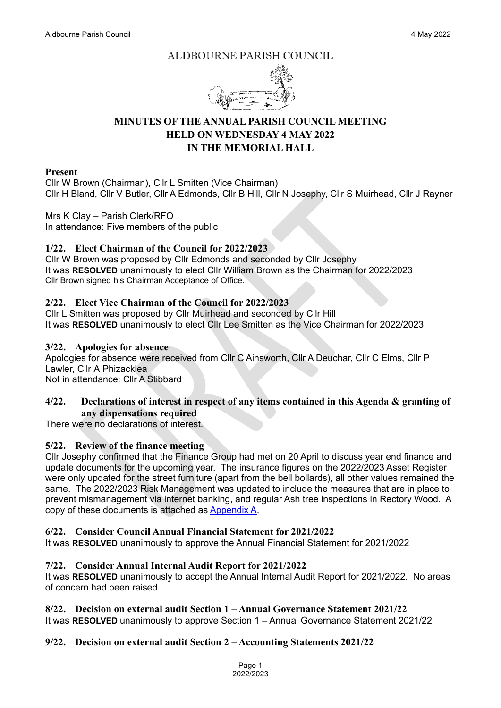#### ALDBOURNE PARISH COUNCIL



# **MINUTES OF THE ANNUAL PARISH COUNCIL MEETING HELD ON WEDNESDAY 4 MAY 2022 IN THE MEMORIAL HALL**

#### **Present**

Cllr W Brown (Chairman), Cllr L Smitten (Vice Chairman) Cllr H Bland, Cllr V Butler, Cllr A Edmonds, Cllr B Hill, Cllr N Josephy, Cllr S Muirhead, Cllr J Rayner

# Mrs K Clay – Parish Clerk/RFO

In attendance: Five members of the public

# **1/22. Elect Chairman of the Council for 2022/2023**

Cllr W Brown was proposed by Cllr Edmonds and seconded by Cllr Josephy It was **RESOLVED** unanimously to elect Cllr William Brown as the Chairman for 2022/2023 Cllr Brown signed his Chairman Acceptance of Office.

# **2/22. Elect Vice Chairman of the Council for 2022/2023**

Cllr L Smitten was proposed by Cllr Muirhead and seconded by Cllr Hill It was **RESOLVED** unanimously to elect Cllr Lee Smitten as the Vice Chairman for 2022/2023.

## **3/22. Apologies for absence**

Apologies for absence were received from Cllr C Ainsworth, Cllr A Deuchar, Cllr C Elms, Cllr P Lawler, Cllr A Phizacklea

Not in attendance: Cllr A Stibbard

#### **4/22. Declarations of interest in respect of any items contained in this Agenda & granting of any dispensations required**

There were no declarations of interest.

## **5/22. Review of the finance meeting**

Cllr Josephy confirmed that the Finance Group had met on 20 April to discuss year end finance and update documents for the upcoming year. The insurance figures on the 2022/2023 Asset Register were only updated for the street furniture (apart from the bell bollards), all other values remained the same. The 2022/2023 Risk Management was updated to include the measures that are in place to prevent mismanagement via internet banking, and regular Ash tree inspections in Rectory Wood. A copy of these documents is attached a[s Appendix A.](https://www.aldbourne.net/aldbourne-parish-council/wp-content/uploads/PC/Meetings/Minutes/Appendix-A-May-2022.pdf)

## **6/22. Consider Council Annual Financial Statement for 2021/2022**

It was **RESOLVED** unanimously to approve the Annual Financial Statement for 2021/2022

## **7/22. Consider Annual Internal Audit Report for 2021/2022**

It was **RESOLVED** unanimously to accept the Annual Internal Audit Report for 2021/2022. No areas of concern had been raised.

## **8/22. Decision on external audit Section 1 – Annual Governance Statement 2021/22**

It was **RESOLVED** unanimously to approve Section 1 – Annual Governance Statement 2021/22

## **9/22. Decision on external audit Section 2 – Accounting Statements 2021/22**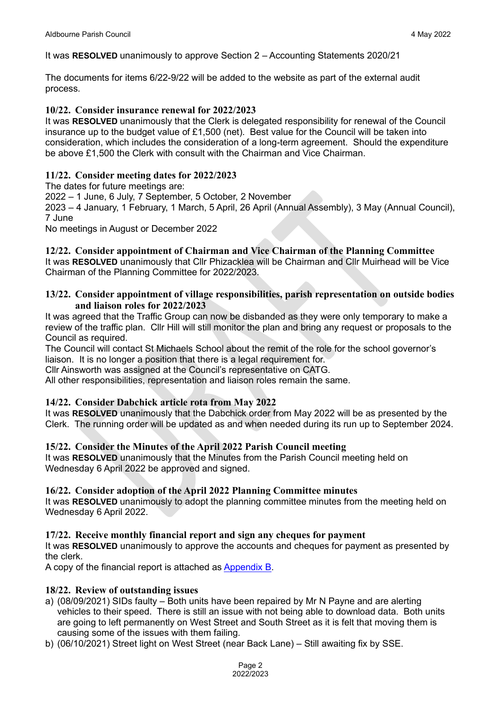It was **RESOLVED** unanimously to approve Section 2 – Accounting Statements 2020/21

The documents for items 6/22-9/22 will be added to the website as part of the external audit process.

#### **10/22. Consider insurance renewal for 2022/2023**

It was **RESOLVED** unanimously that the Clerk is delegated responsibility for renewal of the Council insurance up to the budget value of £1,500 (net). Best value for the Council will be taken into consideration, which includes the consideration of a long-term agreement. Should the expenditure be above £1,500 the Clerk with consult with the Chairman and Vice Chairman.

#### **11/22. Consider meeting dates for 2022/2023**

The dates for future meetings are:

2022 – 1 June, 6 July, 7 September, 5 October, 2 November

2023 – 4 January, 1 February, 1 March, 5 April, 26 April (Annual Assembly), 3 May (Annual Council), 7 June

No meetings in August or December 2022

**12/22. Consider appointment of Chairman and Vice Chairman of the Planning Committee**

It was **RESOLVED** unanimously that Cllr Phizacklea will be Chairman and Cllr Muirhead will be Vice Chairman of the Planning Committee for 2022/2023.

#### **13/22. Consider appointment of village responsibilities, parish representation on outside bodies and liaison roles for 2022/2023**

It was agreed that the Traffic Group can now be disbanded as they were only temporary to make a review of the traffic plan. Cllr Hill will still monitor the plan and bring any request or proposals to the Council as required.

The Council will contact St Michaels School about the remit of the role for the school governor's liaison. It is no longer a position that there is a legal requirement for.

Cllr Ainsworth was assigned at the Council's representative on CATG.

All other responsibilities, representation and liaison roles remain the same.

## **14/22. Consider Dabchick article rota from May 2022**

It was **RESOLVED** unanimously that the Dabchick order from May 2022 will be as presented by the Clerk. The running order will be updated as and when needed during its run up to September 2024.

## **15/22. Consider the Minutes of the April 2022 Parish Council meeting**

It was **RESOLVED** unanimously that the Minutes from the Parish Council meeting held on Wednesday 6 April 2022 be approved and signed.

#### **16/22. Consider adoption of the April 2022 Planning Committee minutes**

It was **RESOLVED** unanimously to adopt the planning committee minutes from the meeting held on Wednesday 6 April 2022.

## **17/22. Receive monthly financial report and sign any cheques for payment**

It was **RESOLVED** unanimously to approve the accounts and cheques for payment as presented by the clerk.

A copy of the financial report is attached as [Appendix B.](https://www.aldbourne.net/aldbourne-parish-council/wp-content/uploads/PC/Meetings/Finance/May-04-2022-Accs.pdf)

## **18/22. Review of outstanding issues**

- a) (08/09/2021) SIDs faulty Both units have been repaired by Mr N Payne and are alerting vehicles to their speed. There is still an issue with not being able to download data. Both units are going to left permanently on West Street and South Street as it is felt that moving them is causing some of the issues with them failing.
- b) (06/10/2021) Street light on West Street (near Back Lane) Still awaiting fix by SSE.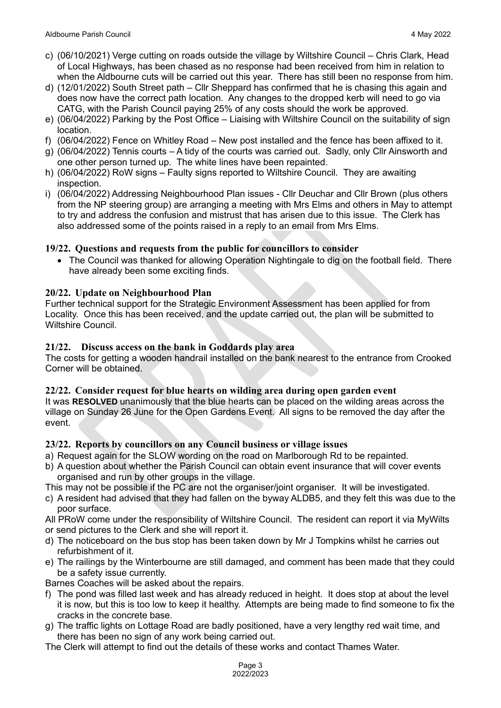- c) (06/10/2021) Verge cutting on roads outside the village by Wiltshire Council Chris Clark, Head of Local Highways, has been chased as no response had been received from him in relation to when the Aldbourne cuts will be carried out this year. There has still been no response from him.
- d) (12/01/2022) South Street path Cllr Sheppard has confirmed that he is chasing this again and does now have the correct path location. Any changes to the dropped kerb will need to go via CATG, with the Parish Council paying 25% of any costs should the work be approved.
- e) (06/04/2022) Parking by the Post Office Liaising with Wiltshire Council on the suitability of sign location.
- f) (06/04/2022) Fence on Whitley Road New post installed and the fence has been affixed to it.
- g) (06/04/2022) Tennis courts A tidy of the courts was carried out. Sadly, only Cllr Ainsworth and one other person turned up. The white lines have been repainted.
- h) (06/04/2022) RoW signs Faulty signs reported to Wiltshire Council. They are awaiting inspection.
- i) (06/04/2022) Addressing Neighbourhood Plan issues Cllr Deuchar and Cllr Brown (plus others from the NP steering group) are arranging a meeting with Mrs Elms and others in May to attempt to try and address the confusion and mistrust that has arisen due to this issue. The Clerk has also addressed some of the points raised in a reply to an email from Mrs Elms.

# **19/22. Questions and requests from the public for councillors to consider**

• The Council was thanked for allowing Operation Nightingale to dig on the football field. There have already been some exciting finds.

## **20/22. Update on Neighbourhood Plan**

Further technical support for the Strategic Environment Assessment has been applied for from Locality. Once this has been received, and the update carried out, the plan will be submitted to Wiltshire Council.

# **21/22. Discuss access on the bank in Goddards play area**

The costs for getting a wooden handrail installed on the bank nearest to the entrance from Crooked Corner will be obtained.

## **22/22. Consider request for blue hearts on wilding area during open garden event**

It was **RESOLVED** unanimously that the blue hearts can be placed on the wilding areas across the village on Sunday 26 June for the Open Gardens Event. All signs to be removed the day after the event.

## **23/22. Reports by councillors on any Council business or village issues**

- a) Request again for the SLOW wording on the road on Marlborough Rd to be repainted.
- b) A question about whether the Parish Council can obtain event insurance that will cover events organised and run by other groups in the village.
- This may not be possible if the PC are not the organiser/joint organiser. It will be investigated.
- c) A resident had advised that they had fallen on the byway ALDB5, and they felt this was due to the poor surface.
- All PRoW come under the responsibility of Wiltshire Council. The resident can report it via MyWilts or send pictures to the Clerk and she will report it.
- d) The noticeboard on the bus stop has been taken down by Mr J Tompkins whilst he carries out refurbishment of it.
- e) The railings by the Winterbourne are still damaged, and comment has been made that they could be a safety issue currently.
- Barnes Coaches will be asked about the repairs.
- f) The pond was filled last week and has already reduced in height. It does stop at about the level it is now, but this is too low to keep it healthy. Attempts are being made to find someone to fix the cracks in the concrete base.
- g) The traffic lights on Lottage Road are badly positioned, have a very lengthy red wait time, and there has been no sign of any work being carried out.

The Clerk will attempt to find out the details of these works and contact Thames Water.